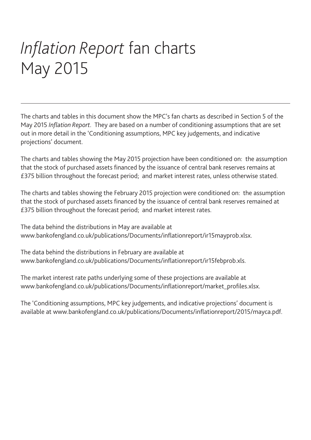# *Inflation Report* fan charts May 2015

The charts and tables in this document show the MPC's fan charts as described in Section 5 of the May 2015 *Inflation Report*. They are based on a number of conditioning assumptions that are set out in more detail in the 'Conditioning assumptions, MPC key judgements, and indicative projections' document.

The charts and tables showing the May 2015 projection have been conditioned on: the assumption that the stock of purchased assets financed by the issuance of central bank reserves remains at £375 billion throughout the forecast period; and market interest rates, unless otherwise stated.

The charts and tables showing the February 2015 projection were conditioned on: the assumption that the stock of purchased assets financed by the issuance of central bank reserves remained at £375 billion throughout the forecast period; and market interest rates.

The data behind the distributions in May are available at www.bankofengland.co.uk/publications/Documents/inflationreport/ir15mayprob.xlsx.

The data behind the distributions in February are available at www.bankofengland.co.uk/publications/Documents/inflationreport/ir15febprob.xls.

The market interest rate paths underlying some of these projections are available at www.bankofengland.co.uk/publications/Documents/inflationreport/market\_profiles.xlsx.

The 'Conditioning assumptions, MPC key judgements, and indicative projections' document is available at www.bankofengland.co.uk/publications/Documents/inflationreport/2015/mayca.pdf.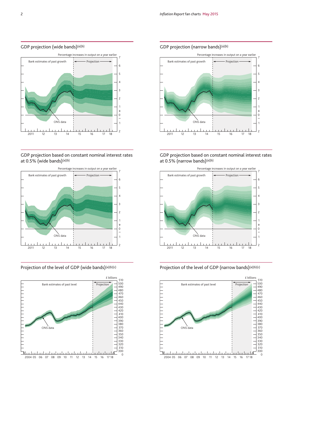## GDP projection (wide bands)<sup>(a)(b)</sup>



GDP projection based on constant nominal interest rates at 0.5% (wide bands)<sup>(a)(b)</sup>



# Projection of the level of GDP (wide bands)(a)(b)(c)



#### GDP projection (narrow bands)<sup>(a)(b)</sup>



GDP projection based on constant nominal interest rates at 0.5% (narrow bands)(a)(b)



Projection of the level of GDP (narrow bands)(a)(b)(c)

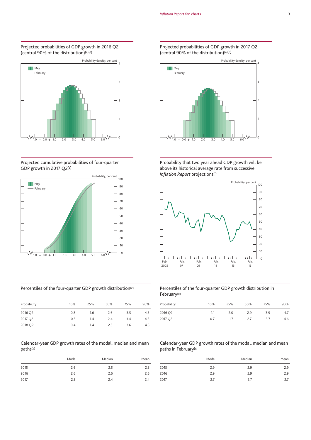#### Projected probabilities of GDP growth in 2016 Q2 (central 90% of the distribution)(a)(d)



#### Projected cumulative probabilities of four-quarter GDP growth in 2017 Q2(e)



# Percentiles of the four-quarter GDP growth distribution(e)

| Probability | 10% | 25% | 50% | 75% | 90% |
|-------------|-----|-----|-----|-----|-----|
| 2016 Q2     | 0.8 | 1.6 | 2.6 | 3.5 | 4.3 |
| 2017 Q2     | 0.5 | 1.4 | 2.4 | 3.4 | 4.3 |
| 2018 Q2     | 0.4 | 1.4 | 2.5 | 3.6 | 4.5 |

#### Calendar-year GDP growth rates of the modal, median and mean paths(g)

|      | Mode | Median | Mean |
|------|------|--------|------|
| 2015 | 2.6  | 2.5    | 2.5  |
| 2016 | 2.6  | 2.6    | 2.6  |
| 2017 | 2.5  | 2.4    | 2.4  |

#### Projected probabilities of GDP growth in 2017 Q2 (central 90% of the distribution)(a)(d)



Probability that two year ahead GDP growth will be above its historical average rate from successive *Inflation Report* projections(f)



#### Percentiles of the four-quarter GDP growth distribution in February(e)

| Probability | 10% | 25% | 50% | 75% | 90% |
|-------------|-----|-----|-----|-----|-----|
| 2016 Q2     | 1.1 | 2.0 | 2.9 | 3.9 | 4.7 |
| 2017 Q2     | 0.7 | 17  | 2.7 | 3.7 | 4.6 |

#### Calendar-year GDP growth rates of the modal, median and mean paths in February(g)

|      | Mode | Median | Mean |
|------|------|--------|------|
| 2015 | 2.9  | 2.9    | 2.9  |
| 2016 | 2.9  | 2.9    | 2.9  |
| 2017 | 2.7  | 2.7    | 2.7  |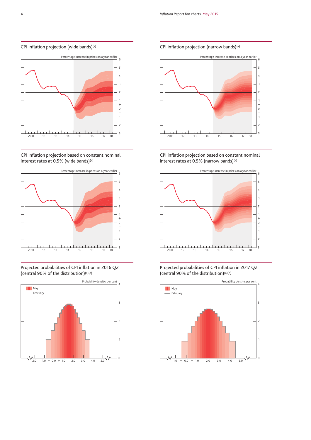#### CPI inflation projection (wide bands)(a)



CPI inflation projection based on constant nominal interest rates at 0.5% (wide bands)(a)



Projected probabilities of CPI inflation in 2016 Q2 (central 90% of the distribution)(a)(d)



CPI inflation projection (narrow bands)(a)



CPI inflation projection based on constant nominal interest rates at 0.5% (narrow bands)(a)



Projected probabilities of CPI inflation in 2017 Q2 (central 90% of the distribution)(a)(d)

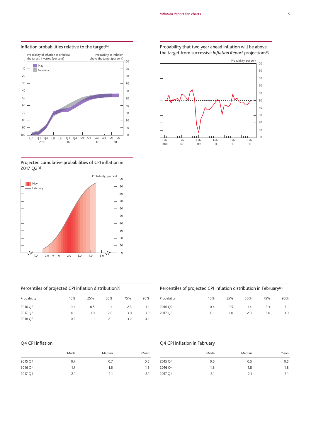

#### Inflation probabilities relative to the target<sup>(h)</sup>

#### Projected cumulative probabilities of CPI inflation in Q2(e)



#### Percentiles of projected CPI inflation distribution(e)

| Probability | 10%    | 25% | 50% | 75% | 90% |
|-------------|--------|-----|-----|-----|-----|
| 2016 Q2     | $-0.4$ | 0.5 | 1.4 | 2.3 | 3.1 |
| 2017 Q2     | 0.1    | 1.0 | 2.0 | 3.0 | 3.9 |
| 2018 Q2     | 0.2    | 1.1 | 21  | 3.2 | 4.1 |

#### Q4 CPI inflation

|         | Mode | Median | Mean |
|---------|------|--------|------|
| 2015 Q4 | 0.7  | 0.7    | 0.6  |
| 2016 Q4 | 1.7  | 1.6    | 1.6  |
| 2017 Q4 | 2.1  | 2.1    | 2.1  |

#### Probability that two year ahead inflation will be above the target from successive *Inflation Report* projections(f)



#### Percentiles of projected CPI inflation distribution in February(e)

| 10%    | 25% | 50% | 75% | 90% |
|--------|-----|-----|-----|-----|
| $-0.4$ | 0.5 | 1.4 | 2.3 | 3.1 |
| 0.1    | 1.0 | 2.0 | 3.0 | 3.9 |
|        |     |     |     |     |

#### Q4 CPI inflation in February

|         | Mode | Median | Mean |
|---------|------|--------|------|
| 2015 Q4 | 0.6  | 0.5    | 0.5  |
| 2016 Q4 | 1.8  | 1.8    | 1.8  |
| 2017 Q4 | 2.1  | 2.1    | 2.1  |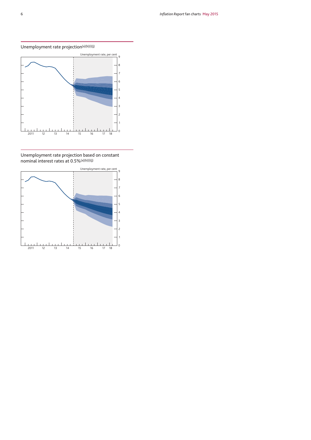Unemployment rate projection $(a)(b)(i)(j)$ 



Unemployment rate projection based on constant nominal interest rates at 0.5%(a)(b)(i)(j)